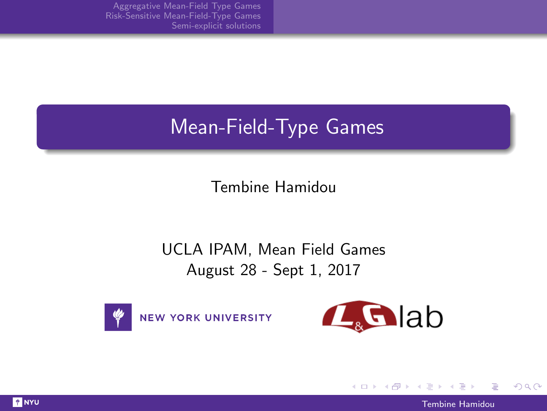# <span id="page-0-0"></span>Mean-Field-Type Games

Tembine Hamidou

### UCLA IPAM, Mean Field Games August 28 - Sept 1, 2017





イロト イ母 トイヨ トイヨ)

 $QQ$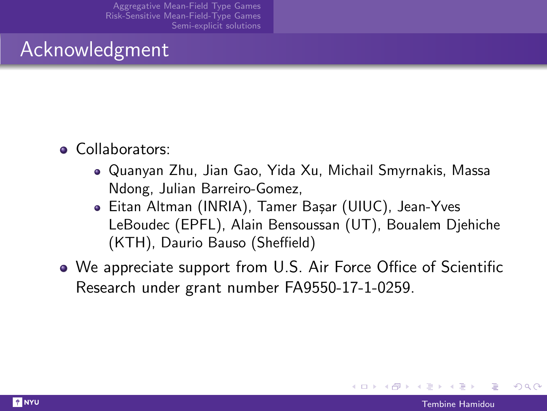### <span id="page-1-0"></span>Acknowledgment

- Collaborators:
	- Quanyan Zhu, Jian Gao, Yida Xu, Michail Smyrnakis, Massa Ndong, Julian Barreiro-Gomez,
	- Eitan Altman (INRIA), Tamer Başar (UIUC), Jean-Yves LeBoudec (EPFL), Alain Bensoussan (UT), Boualem Djehiche (KTH), Daurio Bauso (Sheffield)
- We appreciate support from U.S. Air Force Office of Scientific Research under grant number FA9550-17-1-0259.

つひひ

イロト イ母 トイヨ トイヨー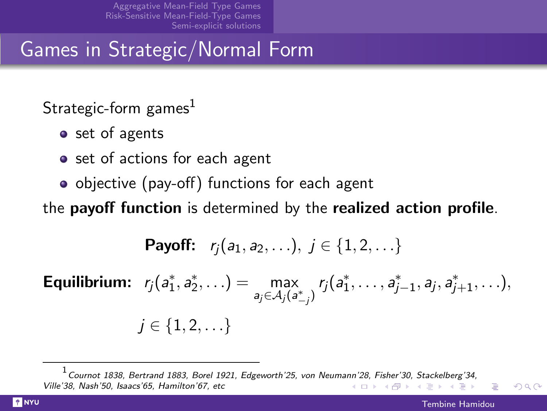<span id="page-2-0"></span>Games in Strategic/Normal Form

Strategic-form games $<sup>1</sup>$ </sup>

- set of agents
- set of actions for each agent
- objective (pay-off) functions for each agent

the payoff function is determined by the realized action profile.

**Payoff:** 
$$
r_j(a_1, a_2, \ldots), j \in \{1, 2, \ldots\}
$$

**Equilibrium:**  $r_j(a_1^*, a_2^*, \ldots) = \max_{a_1, a_2, \ldots} a_n^*$ max  $r_j(a_1^*, \ldots, a_{j-1}^*, a_j, a_{j+1}^*, \ldots),$  $j \in \{1, 2, \ldots\}$ 

1 Cournot 1838, Bertrand 1883, Borel 1921, Edgeworth'25, von Neuma[nn'2](#page-1-0)8[, Fi](#page-3-0)[sh](#page-1-0)[er'3](#page-2-0)[0,](#page-3-0) [Sta](#page-0-0)[ck](#page-8-0)[el](#page-9-0)[berg](#page-0-0)['3](#page-8-0)[4,](#page-9-0) Ville'38, Nash'50, Isaacs'65, Hamilton'67, etc イロト イ押ト イミト イミト

つひひ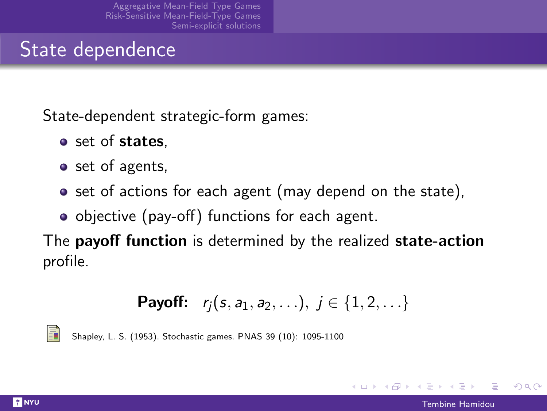## <span id="page-3-0"></span>State dependence

State-dependent strategic-form games:

- set of states.
- set of agents,
- set of actions for each agent (may depend on the state),
- objective (pay-off) functions for each agent.

The **payoff function** is determined by the realized **state-action** profile.

**Payoff:** 
$$
r_j(s, a_1, a_2, \ldots), j \in \{1, 2, \ldots\}
$$

Shapley, L. S. (1953). Stochastic games. PNAS 39 (10): 1095-1100

つひひ

イロト イ押ト イヨト イヨト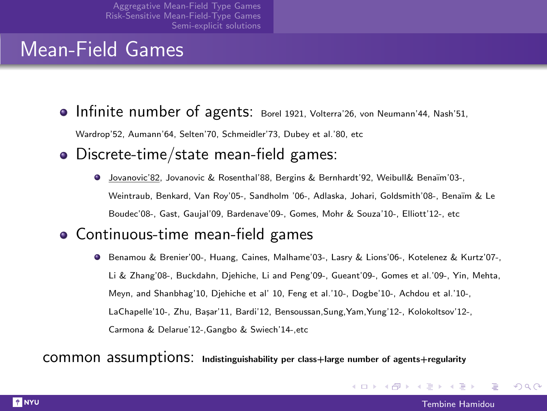## Mean-Field Games

**Infinite number of agents:** Borel 1921, Volterra'26, von Neumann'44, Nash'51,

Wardrop'52, Aumann'64, Selten'70, Schmeidler'73, Dubey et al.'80, etc

- Discrete-time/state mean-field games:
	- Jovanovic'82, Jovanovic & Rosenthal'88, Bergins & Bernhardt'92, Weibull& Bena¨ım'03-, Weintraub, Benkard, Van Roy'05-, Sandholm '06-, Adlaska, Johari, Goldsmith'08-, Bena¨ım & Le Boudec'08-, Gast, Gaujal'09, Bardenave'09-, Gomes, Mohr & Souza'10-, Elliott'12-, etc
- Continuous-time mean-field games
	- Benamou & Brenier'00-, Huang, Caines, Malhame'03-, Lasry & Lions'06-, Kotelenez & Kurtz'07-, Li & Zhang'08-, Buckdahn, Djehiche, Li and Peng'09-, Gueant'09-, Gomes et al.'09-, Yin, Mehta, Meyn, and Shanbhag'10, Djehiche et al' 10, Feng et al.'10-, Dogbe'10-, Achdou et al.'10-, LaChapelle'10-, Zhu, Basar'11, Bardi'12, Bensoussan, Sung, Yam, Yung'12-, Kolokoltsov'12-, Carmona & Delarue'12-,Gangbo & Swiech'14-,etc

common assumptions: Indistinguishability per class+large number of agents+regularity

つひひ

イロメ イ母メ イヨメ イヨメ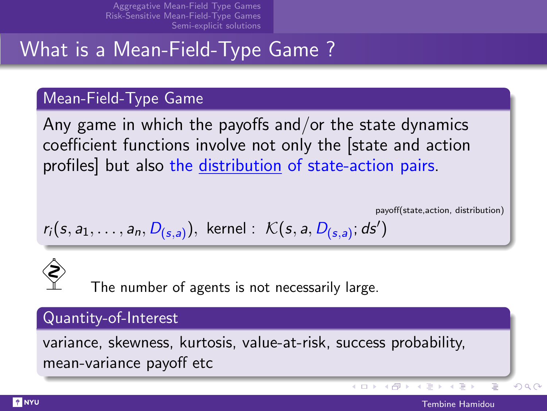# What is a Mean-Field-Type Game ?

#### Mean-Field-Type Game

Any game in which the payoffs and/or the state dynamics coefficient functions involve not only the [state and action profiles] but also the distribution of state-action pairs.

payoff(state,action, distribution)

$$
r_i(s, a_1, \ldots, a_n, D_{(s,a)})
$$
, Kernel :  $\mathcal{K}(s, a, D_{(s,a)})$ ; ds')

The number of agents is not necessarily large.

#### Quantity-of-Interest

variance, skewness, kurtosis, value-at-risk, success probability, mean-variance payoff etc

イロト イ母ト イヨト イヨト

 $\Omega$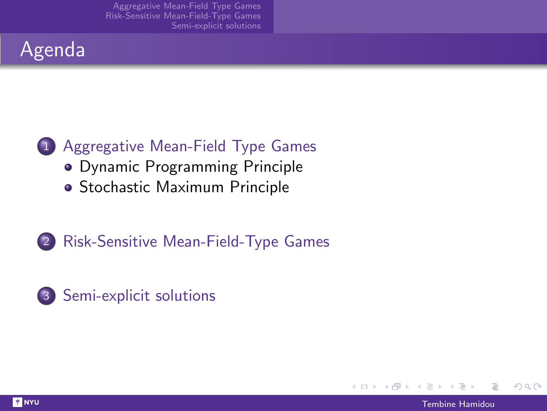### Agenda



- [Dynamic Programming Principle](#page-13-0)
- [Stochastic Maximum Principle](#page-18-0)
- 2 [Risk-Sensitive Mean-Field-Type Games](#page-23-0)





つへへ

イロト イ母 トイヨ トイヨ)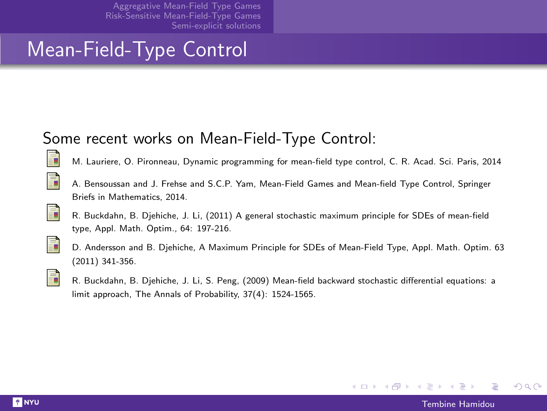## Mean-Field-Type Control

### Some recent works on Mean-Field-Type Control:



M. Lauriere, O. Pironneau, Dynamic programming for mean-field type control, C. R. Acad. Sci. Paris, 2014



F.

A. Bensoussan and J. Frehse and S.C.P. Yam, Mean-Field Games and Mean-field Type Control, Springer Briefs in Mathematics, 2014.





D. Andersson and B. Djehiche, A Maximum Principle for SDEs of Mean-Field Type, Appl. Math. Optim. 63 (2011) 341-356.



R. Buckdahn, B. Djehiche, J. Li, S. Peng, (2009) Mean-field backward stochastic differential equations: a limit approach, The Annals of Probability, 37(4): 1524-1565.

つひび

メロメ メ何メ メミメ メミメ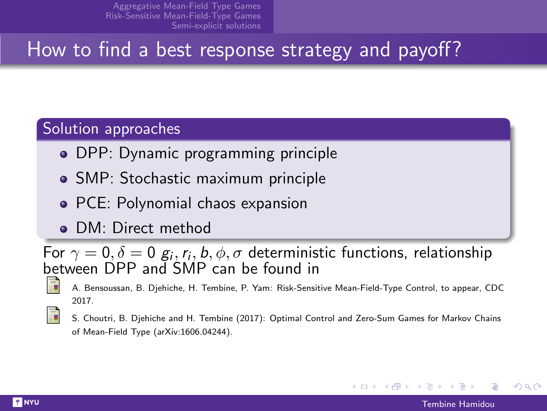# <span id="page-8-0"></span>How to find a best response strategy and payoff?

#### Solution approaches

- DPP: Dynamic programming principle
- SMP: Stochastic maximum principle
- PCE: Polynomial chaos expansion
- **DM: Direct method**

For  $\gamma=0, \delta=0$   ${\mathcal{g}}_i,$   $r_i,$   $b,$   $\phi,$   $\sigma$  deterministic functions, relationship between DPP and SMP can be found in

- A. Bensoussan, B. Djehiche, H. Tembine, P. Yam: Risk-Sensitive Mean-Field-Type Control, to appear, CDC 2017.
- S. Choutri, B. Djehiche and H. Tembine (2017): Optimal Control and Zero-Sum Games for Markov Chains of Mean-Field Type (arXiv:1606.04244).

つひへ

イロト イ押ト イヨト イヨト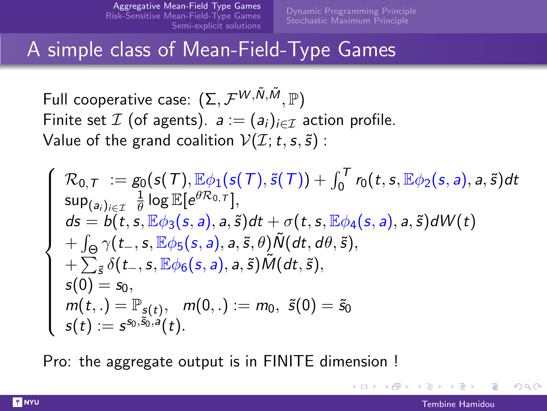[Stochastic Maximum Principle](#page-18-0)

### <span id="page-9-0"></span>A simple class of Mean-Field-Type Games

Full cooperative case:  $(\Sigma, \mathcal{F}^{W, \tilde{N}, \tilde{M}}, \mathbb{P})$ Finite set  $\mathcal I$  (of agents).  $a := (a_i)_{i \in \mathcal I}$  action profile. Value of the grand coalition  $V(\mathcal{I};t,s,\tilde{s})$ :

$$
\begin{cases}\n\mathcal{R}_{0,\mathcal{T}} &:= g_0(s(\mathcal{T}), \mathbb{E}\phi_1(s(\mathcal{T}), \tilde{s}(\mathcal{T})) + \int_0^{\mathcal{T}} r_0(t, s, \mathbb{E}\phi_2(s, a), a, \tilde{s})dt \\
\sup_{(a_i)_{i \in \mathcal{I}}} \frac{1}{\theta} \log \mathbb{E}[e^{\theta \mathcal{R}_{0,\mathcal{T}}}], \\
ds = b(t, s, \mathbb{E}\phi_3(s, a), a, \tilde{s})dt + \sigma(t, s, \mathbb{E}\phi_4(s, a), a, \tilde{s})dW(t) \\
+ \int_{\Theta} \gamma(t_-, s, \mathbb{E}\phi_5(s, a), a, \tilde{s}, \theta) \tilde{N}(dt, d\theta, \tilde{s}), \\
+ \sum_{\tilde{s}} \delta(t_-, s, \mathbb{E}\phi_6(s, a), a, \tilde{s}) \tilde{M}(dt, \tilde{s}), \\
s(0) = s_0, \\
m(t,.) = \mathbb{P}_{s(t)}, \quad m(0,.) := m_0, \quad \tilde{s}(0) = \tilde{s}_0 \\
s(t) := s^{s_0, \tilde{s}_0, a}(t).\n\end{cases}
$$

Pro: the aggregate output is in FINITE dimension !

つのへ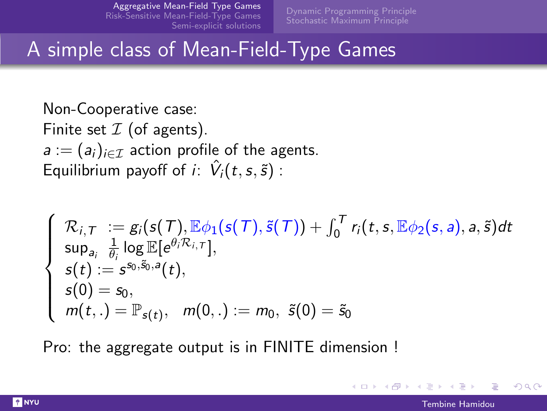[Stochastic Maximum Principle](#page-18-0)

## <span id="page-10-0"></span>A simple class of Mean-Field-Type Games

Non-Cooperative case: Finite set  $I$  (of agents).  $a := (a_i)_{i \in \mathcal{I}}$  action profile of the agents. Equilibrium payoff of *i*:  $\hat{V}_i(t, s, \tilde{s})$ :

$$
\begin{cases}\n\mathcal{R}_{i,T} := g_i(s(T), \mathbb{E}\phi_1(s(T), \tilde{s}(T)) + \int_0^T r_i(t, s, \mathbb{E}\phi_2(s, a), a, \tilde{s})dt \\
\sup_{a_i} \frac{1}{\theta_i} \log \mathbb{E}[e^{\theta_i \mathcal{R}_{i,T}}], \\
s(t) := s^{s_0, \tilde{s}_0, a}(t), \\
s(0) = s_0, \\
m(t,.) = \mathbb{P}_{s(t)}, \quad m(0,.) := m_0, \ \tilde{s}(0) = \tilde{s}_0\n\end{cases}
$$

Pro: the aggregate output is in FINITE dimension !

つひひ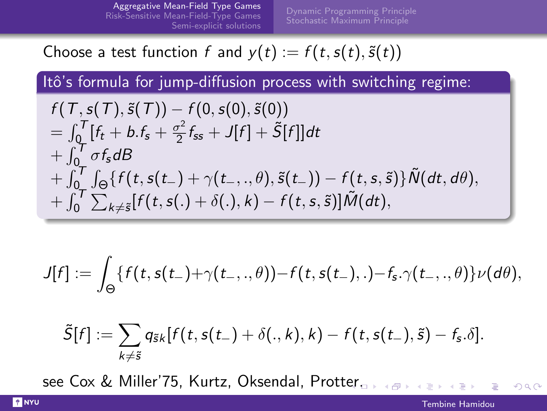Choose a test function f and  $y(t) := f(t, s(t), \tilde{s}(t))$ 

Itô's formula for jump-diffusion process with switching regime:

$$
f(T, s(T), \tilde{s}(T)) - f(0, s(0), \tilde{s}(0))
$$
  
=  $\int_0^T [f_t + b.f_s + \frac{\sigma^2}{2}f_{ss} + J[f] + \tilde{S}[f]]dt$   
+  $\int_0^T \sigma f_s dB$   
+  $\int_0^T \int_{\Theta} \{f(t, s(t_-) + \gamma(t_-, \cdot, \theta), \tilde{s}(t_-)) - f(t, s, \tilde{s})\} \tilde{N}(dt, d\theta),$   
+  $\int_0^T \sum_{k \neq \tilde{s}} [f(t, s(.) + \delta(.), k) - f(t, s, \tilde{s})] \tilde{M}(dt),$ 

$$
J[f]:=\int_{\Theta}\{f(t,s(t_-)+\gamma(t_-,,.\theta))-f(t,s(t_-),.)-f_s.\gamma(t_-,,.\theta)\}\nu(d\theta),
$$

$$
\tilde{S}[f] := \sum_{k \neq \tilde{s}} q_{\tilde{s}k}[f(t, s(t-)+\delta(.,k),k) - f(t, s(t-),\tilde{s}) - f_s.\delta].
$$

see Cox & Miller'75, Kurtz, Oksendal, Prott[er.](#page-10-0)

 $QQ$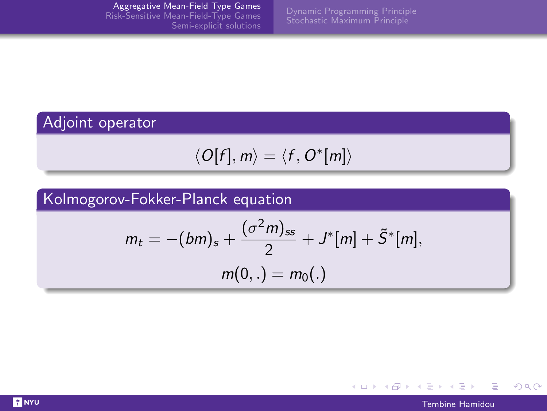### Adjoint operator

$$
\langle O[f], m \rangle = \langle f, O^*[m] \rangle
$$

### Kolmogorov-Fokker-Planck equation

$$
m_t = -(bm)_s + \frac{(\sigma^2 m)_{ss}}{2} + J^*[m] + \tilde{S}^*[m],
$$
  

$$
m(0,.) = m_0(.)
$$



 $QQ$ 

Þ

K ロ ) (K @ ) (K 할 ) (K 할 )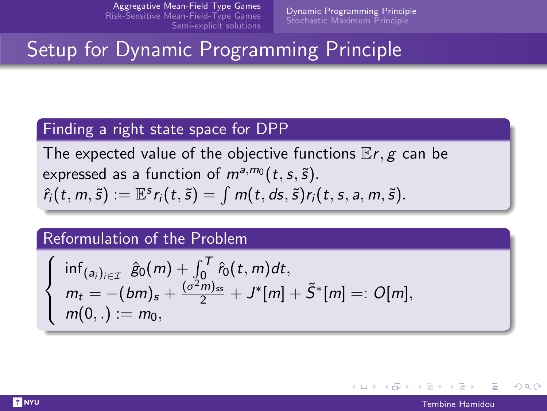[Dynamic Programming Principle](#page-13-0)

## <span id="page-13-0"></span>Setup for Dynamic Programming Principle

#### Finding a right state space for DPP

The expected value of the objective functions  $E r, g$  can be expressed as a function of  $m^{a,m_0}(t,s,\tilde{s})$ .  $\hat{r}_i(t, m, \tilde{s}) := \mathbb{E}^s r_i(t, \tilde{s}) = \int m(t, ds, \tilde{s}) r_i(t, s, a, m, \tilde{s}).$ 

#### Reformulation of the Problem

$$
\begin{cases}\n\inf_{(a_i)_{i\in\mathcal{I}}}\hat{g}_0(m) + \int_0^T \hat{r}_0(t, m)dt, \\
m_t = -(bm)_s + \frac{(\sigma^2 m)_{ss}}{2} + J^*[m] + \tilde{S}^*[m] =: O[m], \\
m(0, .) := m_0,\n\end{cases}
$$

つへへ

イロト イ押 トイラ トイラト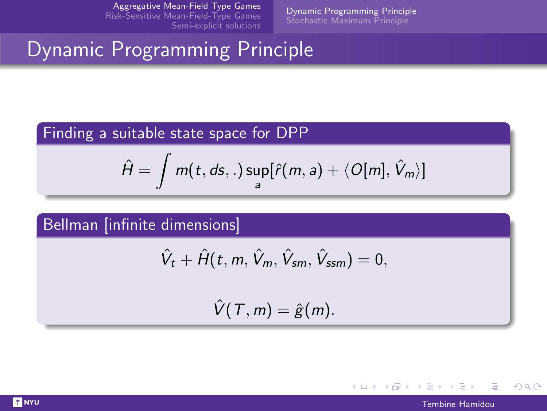[Dynamic Programming Principle](#page-13-0) [Stochastic Maximum Principle](#page-18-0)

# Dynamic Programming Principle

#### Finding a suitable state space for DPP

$$
\hat{H} = \int m(t, ds, .) \sup_a [\hat{r}(m, a) + \langle O[m], \hat{V}_m \rangle]
$$

Bellman [infinite dimensions]

$$
\hat{V}_t + \hat{H}(t, m, \hat{V}_m, \hat{V}_{sm}, \hat{V}_{sm}) = 0,
$$

 $\hat{V}(T, m) = \hat{g}(m).$ 



 $2Q$ 

イロメ イ母メ イヨメ イヨメ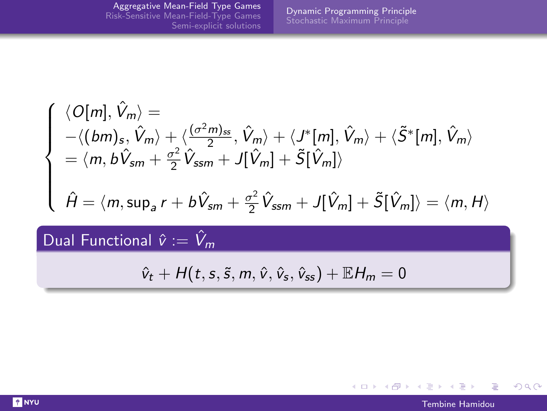$$
\begin{cases}\n\langle O[m], \hat{V}_m \rangle = \\
-\langle (bm), \hat{V}_m \rangle + \langle \frac{(\sigma^2 m)_{ss}}{2}, \hat{V}_m \rangle + \langle J^*[m], \hat{V}_m \rangle + \langle \tilde{S}^*[m], \hat{V}_m \rangle \\
= \langle m, b\hat{V}_{sm} + \frac{\sigma^2}{2}\hat{V}_{ssm} + J[\hat{V}_m] + \tilde{S}[\hat{V}_m] \rangle \\
\hat{H} = \langle m, \sup_a r + b\hat{V}_{sm} + \frac{\sigma^2}{2}\hat{V}_{ssm} + J[\hat{V}_m] + \tilde{S}[\hat{V}_m] \rangle = \langle m, H \rangle\n\end{cases}
$$

Dual Functional  $\hat{v} := \hat{V}_m$ 

$$
\hat{v}_t + H(t, s, \tilde{s}, m, \hat{v}, \hat{v}_s, \hat{v}_{ss}) + \mathbb{E}H_m = 0
$$



 $\equiv$ 

 $QQ$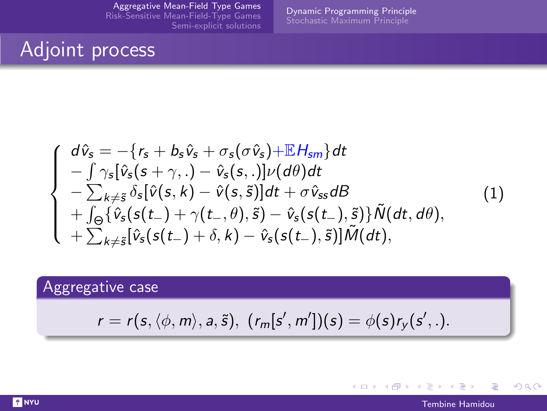[Dynamic Programming Principle](#page-13-0)

## Adjoint process

$$
\begin{cases}\nd\hat{v}_{s} = -\{r_{s} + b_{s}\hat{v}_{s} + \sigma_{s}(\sigma\hat{v}_{s}) + \mathbb{E}H_{sm}\}dt \\
-\int \gamma_{s}[\hat{v}_{s}(s + \gamma,.) - \hat{v}_{s}(s,.)] \nu(d\theta)dt \\
-\sum_{k \neq \tilde{s}} \delta_{s}[\hat{v}(s, k) - \hat{v}(s, \tilde{s})]dt + \sigma\hat{v}_{ss}dB \\
+\int_{\Theta} {\hat{v}_{s}(s(t_{-}) + \gamma(t_{-}, \theta), \tilde{s})} - \hat{v}_{s}(s(t_{-}), \tilde{s})} \tilde{N}(dt, d\theta), \\
+\sum_{k \neq \tilde{s}} [\hat{v}_{s}(s(t_{-}) + \delta, k) - \hat{v}_{s}(s(t_{-}), \tilde{s})] \tilde{M}(dt),\n\end{cases} (1)
$$

### Aggregative case

$$
r = r(s, \langle \phi, m \rangle, a, \tilde{s}), \ (r_m[s', m']) (s) = \phi(s) r_y(s', .).
$$

 $QQ$ 

Þ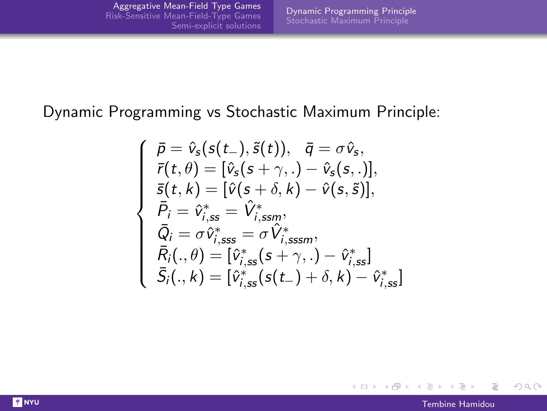#### Dynamic Programming vs Stochastic Maximum Principle:

$$
\left\{\begin{array}{ll} \bar{\rho}=\hat{v}_s(s(t-),\tilde{s}(t)), & \bar{q}=\sigma\hat{v}_s, \\ \bar{r}(t,\theta)=[\hat{v}_s(s+\gamma,.)-\hat{v}_s(s,.)], \\ \bar{s}(t,k)=[\hat{v}(s+\delta,k)-\hat{v}(s,\tilde{s})], \\ \bar{P}_i=\hat{v}_{i,ss}^*=\hat{V}_{i,ssm}^*, \\ \bar{Q}_i=\sigma\hat{v}_{i,sss}^*=\sigma\hat{V}_{i,sssm}^*, \\ \bar{R}_i(.,\theta)=[\hat{v}_{i,ss}^*(s+\gamma,.)-\hat{v}_{i,ss}^*] \\ \bar{S}_i(.,k)=[\hat{v}_{i,ss}^*(s(t-)+\delta,k)-\hat{v}_{i,ss}^*] \end{array}\right.
$$

 $QQ$ 

∍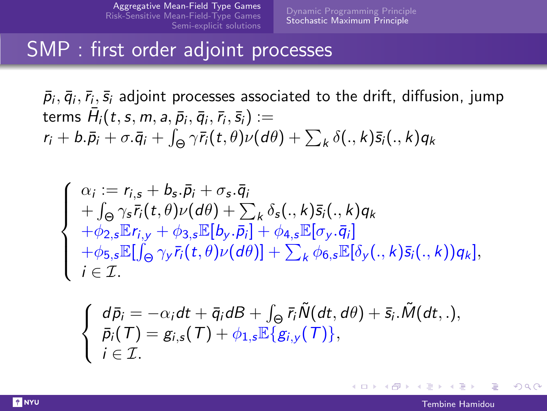### <span id="page-18-0"></span>SMP : first order adjoint processes

 $\bar \rho_i, \bar q_i, \bar r_i, \bar s_i$  adjoint processes associated to the drift, diffusion, jump terms  $\bar{H}_{i}(t,s,m,a,\bar{p}_{i},\bar{q}_{i},\bar{r}_{i},\bar{s}_{i}) :=$  $r_i + b.\bar{p}_i + \sigma.\bar{q}_i + \int_{\Theta} \gamma \bar{r}_i(t,\theta) \nu(d\theta) + \sum_{k} \delta(.,k) \bar{s}_i(.,k) q_k$ 

$$
\begin{cases}\n\alpha_i := r_{i,s} + b_s \cdot \bar{p}_i + \sigma_s \cdot \bar{q}_i \\
+ \int_{\Theta} \gamma_s \bar{r}_i(t,\theta) \nu(d\theta) + \sum_k \delta_s(.,k) \bar{s}_i(.,k) q_k \\
+ \phi_{2,s} \mathbb{E} r_{i,y} + \phi_{3,s} \mathbb{E}[b_y \cdot \bar{p}_i] + \phi_{4,s} \mathbb{E}[\sigma_y \cdot \bar{q}_i] \\
+ \phi_{5,s} \mathbb{E}[\int_{\Theta} \gamma_y \bar{r}_i(t,\theta) \nu(d\theta)] + \sum_k \phi_{6,s} \mathbb{E}[\delta_y(.,k) \bar{s}_i(.,k)) q_k], \\
i \in \mathcal{I}.\n\end{cases}
$$

$$
\begin{cases}\n d\bar{p}_i = -\alpha_i dt + \bar{q}_i dB + \int_{\Theta} \bar{r}_i \tilde{N}(dt, d\theta) + \bar{s}_i \cdot \tilde{M}(dt, \cdot), \\
 \bar{p}_i(\mathcal{T}) = g_{i,s}(\mathcal{T}) + \phi_{1,s} \mathbb{E}\{g_{i,y}(\mathcal{T})\}, \\
 i \in \mathcal{I}.\n\end{cases}
$$

つひひ

**4 ロ ▶ 4 包**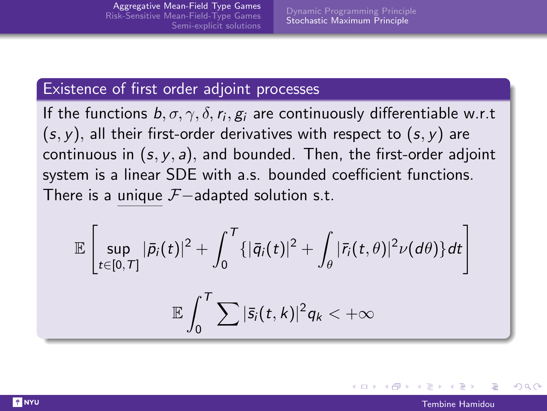#### Existence of first order adjoint processes

If the functions  $b, \sigma, \gamma, \delta, r_i, g_i$  are continuously differentiable w.r.t  $(s, y)$ , all their first-order derivatives with respect to  $(s, y)$  are continuous in  $(s, y, a)$ , and bounded. Then, the first-order adjoint system is a linear SDE with a.s. bounded coefficient functions. There is a unique  $\mathcal{F}-$ adapted solution s.t.

$$
\mathbb{E}\left[\sup_{t\in[0,T]}|\bar{p}_i(t)|^2+\int_0^T\{|\bar{q}_i(t)|^2+\int_\theta|\bar{r}_i(t,\theta)|^2\nu(d\theta)\}dt\right]
$$

$$
\mathbb{E}\int_0^T\sum|\bar{s}_i(t,k)|^2q_k<+\infty
$$

つひひ

メロメ メ何メ メミメ メミメ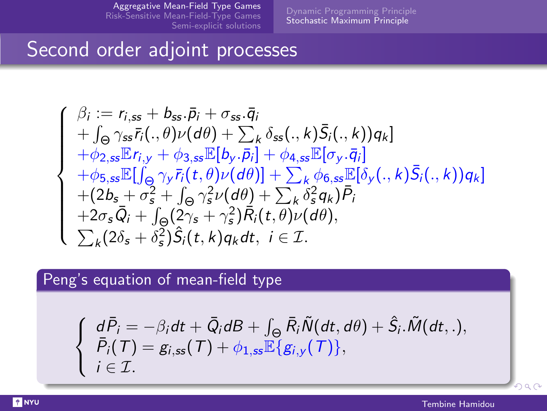[Stochastic Maximum Principle](#page-18-0)

## Second order adjoint processes

$$
\begin{cases}\n\beta_i := r_{i,ss} + b_{ss}.\bar{p}_i + \sigma_{ss}.\bar{q}_i \\
+ \int_{\Theta} \gamma_{ss} \bar{r}_i(.,\theta)\nu(d\theta) + \sum_k \delta_{ss}(.,k)\bar{S}_i(.,k))q_k] \\
+\phi_{2,ss}\mathbb{E}[r_{i,y} + \phi_{3,ss}\mathbb{E}[b_y.\bar{p}_i] + \phi_{4,ss}\mathbb{E}[\sigma_y.\bar{q}_i] \\
+\phi_{5,ss}\mathbb{E}[\int_{\Theta} \gamma_y \bar{r}_i(t,\theta)\nu(d\theta)] + \sum_k \phi_{6,ss}\mathbb{E}[\delta_y(.,k)\bar{S}_i(.,k))q_k] \\
+(2b_s + \sigma_s^2 + \int_{\Theta} \gamma_s^2\nu(d\theta) + \sum_k \delta_s^2 q_k)\bar{P}_i \\
+2\sigma_s\bar{Q}_i + \int_{\Theta}(2\gamma_s + \gamma_s^2)\bar{R}_i(t,\theta)\nu(d\theta), \\
\sum_k (2\delta_s + \delta_s^2)\hat{S}_i(t,k)q_kdt, i \in \mathcal{I}.\n\end{cases}
$$

### Peng's equation of mean-field type

$$
\begin{cases}\nd\bar{P}_i = -\beta_i dt + \bar{Q}_i dB + \int_{\Theta} \bar{R}_i \tilde{N}(dt, d\theta) + \hat{S}_i \tilde{M}(dt, \cdot), \\
\bar{P}_i(T) = g_{i,ss}(T) + \phi_{1,ss} \mathbb{E}\{g_{i,y}(T)\}, \\
i \in \mathcal{I}.\n\end{cases}
$$

 $2990$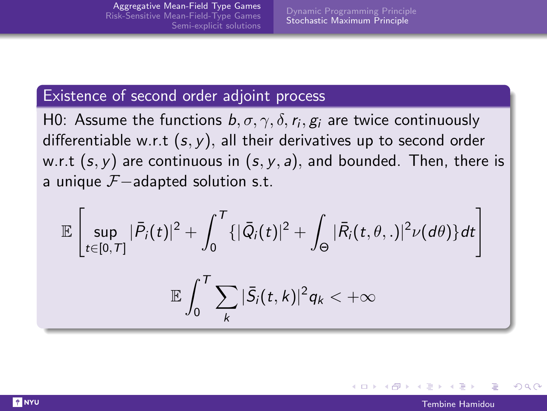#### Existence of second order adjoint process

H0: Assume the functions  $b, \sigma, \gamma, \delta, r_i, g_i$  are twice continuously differentiable w.r.t  $(s, y)$ , all their derivatives up to second order w.r.t  $(s, y)$  are continuous in  $(s, y, a)$ , and bounded. Then, there is a unique  $\mathcal{F}-$ adapted solution s.t.

$$
\mathbb{E}\left[\sup_{t\in[0,T]}|\bar{P}_i(t)|^2+\int_0^T\{|\bar{Q}_i(t)|^2+\int_{\Theta}|\bar{R}_i(t,\theta,.)|^2\nu(d\theta)\}dt\right]
$$

$$
\mathbb{E}\int_0^T\sum_k|\bar{S}_i(t,k)|^2q_k<+\infty
$$

つひひ

イロト イ母 トイヨ トイヨト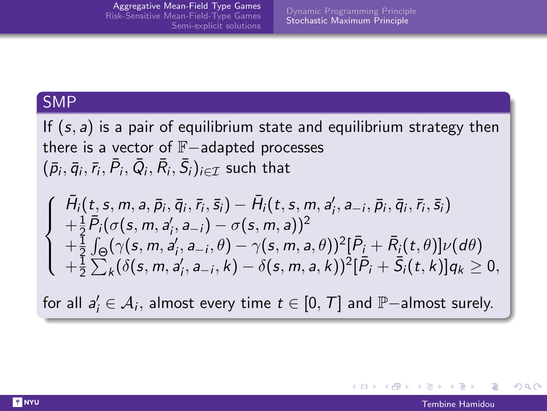#### SMP

If  $(s, a)$  is a pair of equilibrium state and equilibrium strategy then there is a vector of F−adapted processes  $(\bar p_i, \bar q_i, \bar r_i, \bar P_i, \bar Q_i, \bar R_i, \bar S_i)_{i\in\mathcal{I}}$  such that

$$
\begin{cases}\n\bar{H}_{i}(t,s,m,a,\bar{p}_{i},\bar{q}_{i},\bar{r}_{i},\bar{s}_{i}) - \bar{H}_{i}(t,s,m,a'_{i},a_{-i},\bar{p}_{i},\bar{q}_{i},\bar{r}_{i},\bar{s}_{i}) \\
+ \frac{1}{2}\bar{P}_{i}(\sigma(s,m,a'_{i},a_{-i}) - \sigma(s,m,a))^{2} \\
+ \frac{1}{2}\int_{\Theta} (\gamma(s,m,a'_{i},a_{-i},\theta) - \gamma(s,m,a,\theta))^{2} [\bar{P}_{i} + \bar{R}_{i}(t,\theta)]\nu(d\theta) \\
+ \frac{1}{2}\sum_{k} (\delta(s,m,a'_{i},a_{-i},k) - \delta(s,m,a,k))^{2} [\bar{P}_{i} + \bar{S}_{i}(t,k)]q_{k} \geq 0,\n\end{cases}
$$

for all  $a_i' \in \mathcal{A}_i$ , almost every time  $t \in [0,\, \mathcal{T}]$  and  $\mathbb{P}-$ almost surely.

つひひ

イロト イ母 トイヨ トイヨト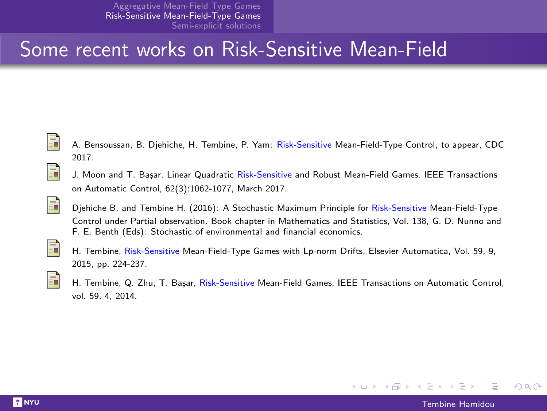## <span id="page-23-0"></span>Some recent works on Risk-Sensitive Mean-Field



A. Bensoussan, B. Djehiche, H. Tembine, P. Yam: Risk-Sensitive Mean-Field-Type Control, to appear, CDC 2017.



譶

J. Moon and T. Basar. Linear Quadratic Risk-Sensitive and Robust Mean-Field Games. IEEE Transactions on Automatic Control, 62(3):1062-1077, March 2017.





H. Tembine, Risk-Sensitive Mean-Field-Type Games with Lp-norm Drifts, Elsevier Automatica, Vol. 59, 9, 2015, pp. 224-237.



H. Tembine, Q. Zhu, T. Başar, Risk-Sensitive Mean-Field Games, IEEE Transactions on Automatic Control, vol. 59, 4, 2014.

 $\Omega$ 

イロト イ押 トイラ トイラト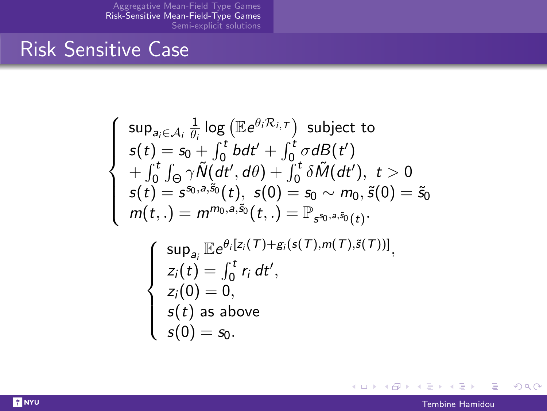## Risk Sensitive Case

$$
\left\{\begin{array}{l} \sup_{a_i\in\mathcal{A}_i}\frac{1}{\theta_i}\log\left(\mathbb{E}e^{\theta_i\mathcal{R}_{i,\mathcal{T}}}\right)\text{ subject to} \\ s(t)=s_0+\int_0^t bdt'+\int_0^t \sigma dB(t')\\ +\int_0^t\int_{\Theta}\gamma\tilde{N}(dt',d\theta)+\int_0^t \delta\tilde{M}(dt'),\ t>0\\ s(t)=s^{s_0,a,\tilde{s}_0}(t),\ s(0)=s_0\sim m_0,\tilde{s}(0)=\tilde{s}_0\\ m(t,.)=m^{m_0,a,\tilde{s}_0}(t,.)=\mathbb{P}_{s^{s_0,a,\tilde{s}_0}(t)}\\ \sup_{a_i}\mathbb{E}e^{\theta_i[z_i(\mathcal{T})+g_i(s(\mathcal{T}),m(\mathcal{T}),\tilde{s}(\mathcal{T}))]},\\ z_i(t)=\int_0^t r_i\ dt',\\ z_i(0)=0,\\ s(t)\ \text{as above}\\ s(0)=s_0.\end{array}\right.
$$

È

 $QQ$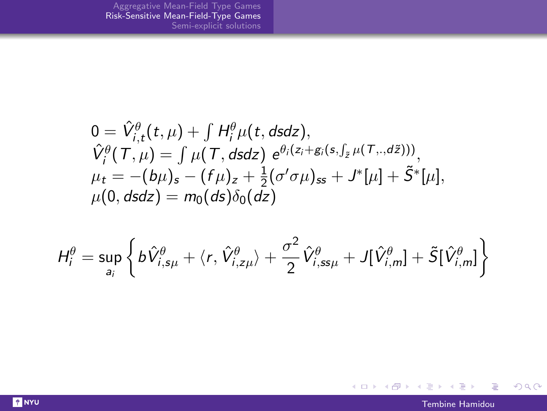$$
0 = \hat{V}_{i,t}^{\theta}(t,\mu) + \int H_{i}^{\theta}\mu(t, dsdz),
$$
  
\n
$$
\hat{V}_{i}^{\theta}(T,\mu) = \int \mu(T, dsdz) e^{\theta_{i}(z_{i} + g_{i}(s, \int_{\tilde{z}} \mu(T, \cdot, d\tilde{z})))},
$$
  
\n
$$
\mu_{t} = -(b\mu)_{s} - (f\mu)_{z} + \frac{1}{2}(\sigma'\sigma\mu)_{ss} + J^{*}[\mu] + \tilde{S}^{*}[\mu],
$$
  
\n
$$
\mu(0, dsdz) = m_{0}(ds)\delta_{0}(dz)
$$

$$
H_i^{\theta} = \sup_{a_i} \left\{ b\hat{V}_{i,s\mu}^{\theta} + \langle r, \hat{V}_{i,z\mu}^{\theta} \rangle + \frac{\sigma^2}{2} \hat{V}_{i,ss\mu}^{\theta} + J[\hat{V}_{i,m}^{\theta}] + \tilde{S}[\hat{V}_{i,m}^{\theta}] \right\}
$$

 $299$ 

重

イロト イ団 トメ ミトメ ミト

**T** NYU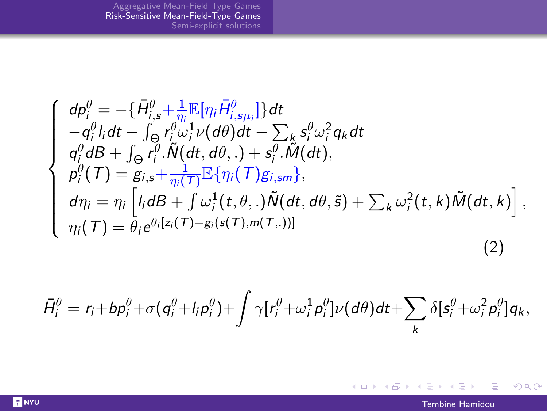$$
\begin{cases}\n d\rho_i^{\theta} = -\{\bar{H}_{i,s}^{\theta} + \frac{1}{\eta_i} \mathbb{E}[\eta_i \bar{H}_{i,s\mu_i}^{\theta}]\} dt \\
 -q_i^{\theta} l_i dt - \int_{\Theta} r_i^{\theta} \omega_i^1 \nu(d\theta) dt - \sum_{k} s_i^{\theta} \omega_i^2 q_k dt \\
 q_i^{\theta} dB + \int_{\Theta} r_i^{\theta} \cdot \tilde{N}(dt, d\theta,.) + s_i^{\theta} \cdot \tilde{M}(dt), \\
 p_i^{\theta}(\mathcal{T}) = g_{i,s} + \frac{1}{\eta_i(\mathcal{T})} \mathbb{E}\{\eta_i(\mathcal{T})g_{i,sm}\}, \\
 d\eta_i = \eta_i \left[ l_i dB + \int \omega_i^1(t, \theta,.) \tilde{N}(dt, d\theta, \tilde{s}) + \sum_{k} \omega_i^2(t, k) \tilde{M}(dt, k) \right], \\
 \eta_i(\mathcal{T}) = \theta_i e^{\theta_i [z_i(\mathcal{T}) + g_i(s(\mathcal{T}), m(\mathcal{T}, .))]} \n\end{cases} \tag{2}
$$

$$
\bar{H}_{i}^{\theta}=r_{i}+bp_{i}^{\theta}+\sigma(q_{i}^{\theta}+I_{i}p_{i}^{\theta})+\int \gamma[r_{i}^{\theta}+\omega_{i}^{1}p_{i}^{\theta}]\nu(d\theta)dt+\sum_{k}\delta[s_{i}^{\theta}+\omega_{i}^{2}p_{i}^{\theta}]q_{k},
$$

 $299$ 

重

 $\mathcal{A} \otimes \mathcal{P} \rightarrow \mathcal{A} \otimes \mathcal{P} \rightarrow \mathcal{A} \otimes \mathcal{P} \rightarrow \mathcal{A} \otimes \mathcal{P}$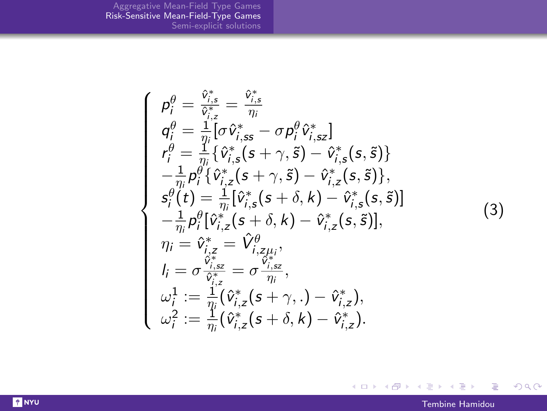$$
\begin{cases}\n\rho_{i}^{\theta} = \frac{\hat{v}_{i,s}^{*}}{\hat{v}_{i,z}^{*}} = \frac{\hat{v}_{i,s}^{*}}{\eta_{i}} \\
q_{i}^{\theta} = \frac{1}{\eta_{i}} [\sigma \hat{v}_{i,ss}^{*} - \sigma p_{i}^{\theta} \hat{v}_{i,sz}^{*}] \\
r_{i}^{\theta} = \frac{1}{\eta_{i}} [\hat{v}_{i,s}^{*}(s + \gamma, \tilde{s}) - \hat{v}_{i,s}^{*}(s, \tilde{s})] \\
-\frac{1}{\eta_{i}} p_{i}^{\theta} {\hat{v}_{i,z}^{*}(s + \gamma, \tilde{s}) - \hat{v}_{i,z}^{*}(s, \tilde{s})}, \\
s_{i}^{\theta}(t) = \frac{1}{\eta_{i}} [\hat{v}_{i,s}^{*}(s + \delta, k) - \hat{v}_{i,s}^{*}(s, \tilde{s})] \\
-\frac{1}{\eta_{i}} p_{i}^{\theta} [\hat{v}_{i,z}^{*}(s + \delta, k) - \hat{v}_{i,z}^{*}(s, \tilde{s})], \\
\eta_{i} = \hat{v}_{i,z}^{*} = \hat{V}_{i,z\mu_{i}}^{\theta}, \\
l_{i} = \sigma \frac{\hat{v}_{i,sz}^{*}}{\hat{v}_{i,z}^{*}} = \sigma \frac{\hat{v}_{i,sz}^{*}}{\eta_{i}}, \\
\omega_{i}^{1} := \frac{1}{\eta_{i}} (\hat{v}_{i,z}^{*}(s + \gamma, .) - \hat{v}_{i,z}^{*}), \\
\omega_{i}^{2} := \frac{1}{\eta_{i}} (\hat{v}_{i,z}^{*}(s + \delta, k) - \hat{v}_{i,z}^{*}).\n\end{cases}
$$
\n(3)

 $299$ 

重

 $\mathcal{A} \otimes \mathcal{P} \rightarrow \mathcal{A} \otimes \mathcal{P} \rightarrow \mathcal{A} \otimes \mathcal{P} \rightarrow \mathcal{A} \otimes \mathcal{P}$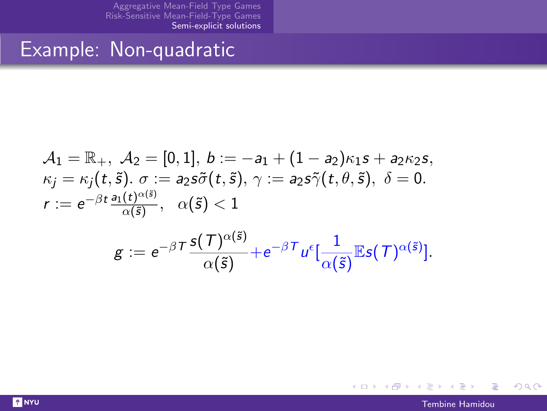### <span id="page-28-0"></span>Example: Non-quadratic

$$
\begin{array}{l} \mathcal{A}_1 = \mathbb{R}_+,\ \mathcal{A}_2 = [0,1],\ b:=-a_1+(1-a_2)\kappa_1s+a_2\kappa_2s,\\ \kappa_j = \kappa_j(t,\tilde{s}),\ \sigma:=a_2s\tilde{\sigma}(t,\tilde{s}),\ \gamma:=a_2s\tilde{\gamma}(t,\theta,\tilde{s}),\ \delta=0.\\ r:=e^{-\beta t}\frac{a_1(t)^{\alpha(\tilde{s})}}{\alpha(\tilde{s})},\quad \alpha(\tilde{s})<1 \end{array}
$$

$$
g := e^{-\beta T} \frac{s(T)^{\alpha(\tilde{s})}}{\alpha(\tilde{s})} + e^{-\beta T} u^{\epsilon} \left[ \frac{1}{\alpha(\tilde{s})} \mathbb{E} s(T)^{\alpha(\tilde{s})} \right].
$$

Tembine Hamidou

 $QQ$ 

Ε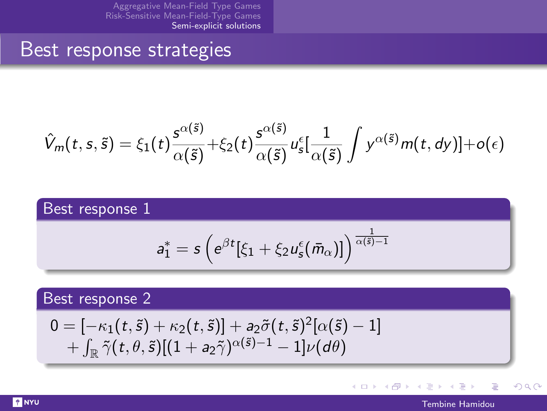### Best response strategies

$$
\hat{V}_m(t,s,\tilde{s})=\xi_1(t)\frac{s^{\alpha(\tilde{s})}}{\alpha(\tilde{s})}+\xi_2(t)\frac{s^{\alpha(\tilde{s})}}{\alpha(\tilde{s})}u_s^{\epsilon}[\frac{1}{\alpha(\tilde{s})}\int y^{\alpha(\tilde{s})}m(t,dy)]+o(\epsilon)
$$

### Best response 1

$$
a_1^* = s \left( e^{\beta t} [\xi_1 + \xi_2 u_s^{\epsilon}(\bar{m}_{\alpha})] \right)^{\frac{1}{\alpha(\bar{s})-1}}
$$

#### Best response 2

$$
0 = [-\kappa_1(t, \tilde{s}) + \kappa_2(t, \tilde{s})] + a_2 \tilde{\sigma}(t, \tilde{s})^2 [\alpha(\tilde{s}) - 1] + \int_{\mathbb{R}} \tilde{\gamma}(t, \theta, \tilde{s}) [(1 + a_2 \tilde{\gamma})^{\alpha(\tilde{s}) - 1} - 1] \nu(d\theta)
$$

 $\equiv$  $\rightarrow$ 

**K ロ ト K 何 ト K** 

 $QQ$ 

Þ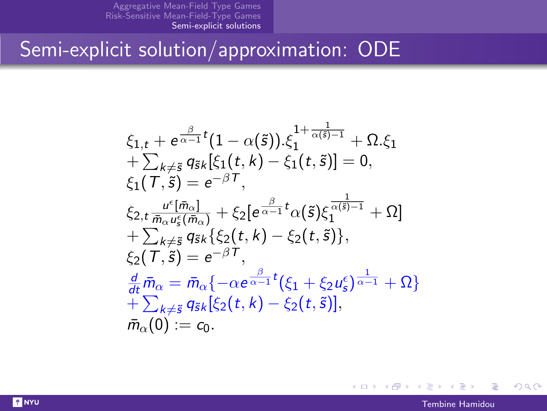# Semi-explicit solution/approximation: ODE

$$
\xi_{1,t} + e^{\frac{\beta}{\alpha-1}t}(1-\alpha(\tilde{s})).\xi_1^{1+\frac{1}{\alpha(\tilde{s})-1}} + \Omega.\xi_1 \n+ \sum_{k\neq \tilde{s}} q_{\tilde{s}k}[\xi_1(t,k) - \xi_1(t,\tilde{s})] = 0, \n\xi_1(T,\tilde{s}) = e^{-\beta T}, \n\xi_{2,t} \frac{u^{\epsilon}[\bar{m}_{\alpha}]}{\bar{m}_{\alpha}u^{\epsilon}_{\tilde{s}}(\bar{m}_{\alpha})} + \xi_2[e^{\frac{\beta}{\alpha-1}t}\alpha(\tilde{s})\xi_1^{\frac{1}{\alpha(\tilde{s})-1}} + \Omega] \n+ \sum_{k\neq \tilde{s}} q_{\tilde{s}k}\{\xi_2(t,k) - \xi_2(t,\tilde{s})\}, \n\xi_2(T,\tilde{s}) = e^{-\beta T}, \n\frac{d}{dt}\bar{m}_{\alpha} = \bar{m}_{\alpha}\{-\alpha e^{\frac{\beta}{\alpha-1}t}(\xi_1 + \xi_2 u^{\epsilon}_{\tilde{s}})^{\frac{1}{\alpha-1}} + \Omega\} \n+ \sum_{k\neq \tilde{s}} q_{\tilde{s}k}[\xi_2(t,k) - \xi_2(t,\tilde{s})], \n\bar{m}_{\alpha}(0) := c_0.
$$

 $QQ$ 

B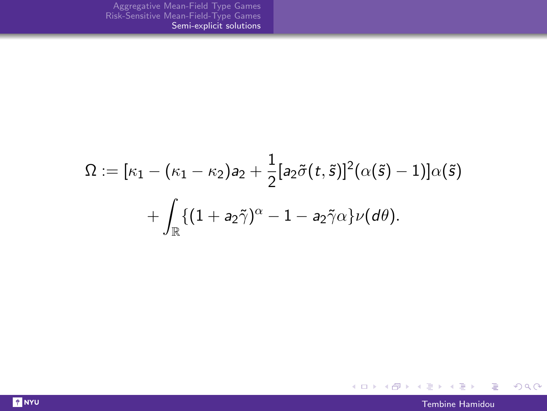$$
\Omega := [\kappa_1 - (\kappa_1 - \kappa_2) a_2 + \frac{1}{2} [a_2 \tilde{\sigma}(t, \tilde{s})]^2 (\alpha(\tilde{s}) - 1)] \alpha(\tilde{s})
$$
  
+ 
$$
\int_{\mathbb{R}} \{ (1 + a_2 \tilde{\gamma})^{\alpha} - 1 - a_2 \tilde{\gamma} \alpha \} \nu(d\theta).
$$



 $299$ 

重

イロン イ団 メイモン イモン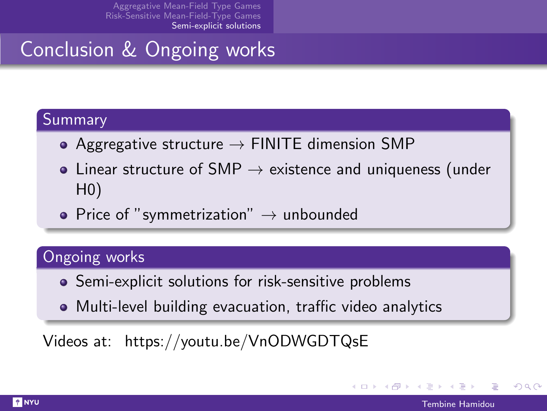# Conclusion & Ongoing works

#### Summary

- Aggregative structure  $\rightarrow$  FINITE dimension SMP
- Linear structure of SMP  $\rightarrow$  existence and uniqueness (under H0)
- Price of "symmetrization"  $\rightarrow$  unbounded

### Ongoing works

- Semi-explicit solutions for risk-sensitive problems
- Multi-level building evacuation, traffic video analytics

Videos at: https://youtu.be/VnODWGDTQsE

つへへ

イロト イ母 トイヨ トイヨト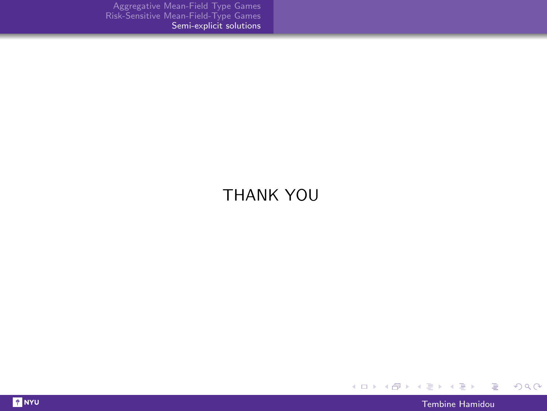### THANK YOU



È

 $299$ 

メロト メタト メミト メミト